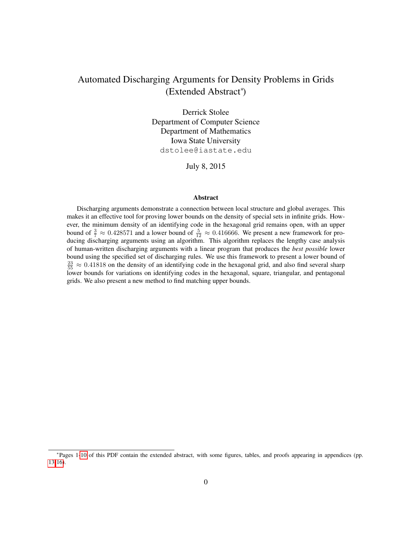# Automated Discharging Arguments for Density Problems in Grids (Extended Abstract<sup>∗</sup> )

Derrick Stolee Department of Computer Science Department of Mathematics Iowa State University dstolee@iastate.edu

July 8, 2015

#### Abstract

Discharging arguments demonstrate a connection between local structure and global averages. This makes it an effective tool for proving lower bounds on the density of special sets in infinite grids. However, the minimum density of an identifying code in the hexagonal grid remains open, with an upper bound of  $\frac{3}{7} \approx 0.428571$  and a lower bound of  $\frac{5}{12} \approx 0.416666$ . We present a new framework for producing discharging arguments using an algorithm. This algorithm replaces the lengthy case analysis of human-written discharging arguments with a linear program that produces the *best possible* lower bound using the specified set of discharging rules. We use this framework to present a lower bound of  $\frac{23}{55} \approx 0.41818$  on the density of an identifying code in the hexagonal grid, and also find several sharp lower bounds for variations on identifying codes in the hexagonal, square, triangular, and pentagonal grids. We also present a new method to find matching upper bounds.

<sup>∗</sup> Pages 1[-10](#page-10-0) of this PDF contain the extended abstract, with some figures, tables, and proofs appearing in appendices (pp. [13-](#page-10-0)[16\)](#page-16-0).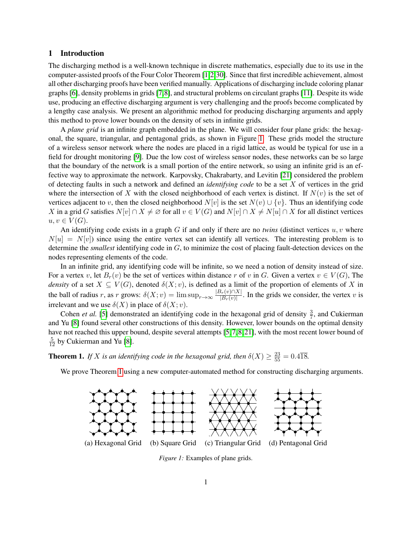#### 1 Introduction

The discharging method is a well-known technique in discrete mathematics, especially due to its use in the computer-assisted proofs of the Four Color Theorem [\[1,](#page-11-0)[2,](#page-11-1)[30\]](#page-12-0). Since that first incredible achievement, almost all other discharging proofs have been verified manually. Applications of discharging include coloring planar graphs [\[6\]](#page-11-2), density problems in grids [\[7,](#page-11-3)[8\]](#page-11-4), and structural problems on circulant graphs [\[11\]](#page-11-5). Despite its wide use, producing an effective discharging argument is very challenging and the proofs become complicated by a lengthy case analysis. We present an algorithmic method for producing discharging arguments and apply this method to prove lower bounds on the density of sets in infinite grids.

A *plane grid* is an infinite graph embedded in the plane. We will consider four plane grids: the hexagonal, the square, triangular, and pentagonal grids, as shown in Figure [1.](#page-1-0) These grids model the structure of a wireless sensor network where the nodes are placed in a rigid lattice, as would be typical for use in a field for drought monitoring [\[9\]](#page-11-6). Due the low cost of wireless sensor nodes, these networks can be so large that the boundary of the network is a small portion of the entire network, so using an infinite grid is an effective way to approximate the network. Karpovsky, Chakrabarty, and Levitin [\[21\]](#page-11-7) considered the problem of detecting faults in such a network and defined an *identifying code* to be a set X of vertices in the grid where the intersection of X with the closed neighborhood of each vertex is distinct. If  $N(v)$  is the set of vertices adjacent to v, then the closed neighborhood  $N[v]$  is the set  $N(v) \cup \{v\}$ . Thus an identifying code X in a grid G satisfies  $N[v] \cap X \neq \emptyset$  for all  $v \in V(G)$  and  $N[v] \cap X \neq N[u] \cap X$  for all distinct vertices  $u, v \in V(G)$ .

An identifying code exists in a graph G if and only if there are no *twins* (distinct vertices u, v where  $N[u] = N[v]$  since using the entire vertex set can identify all vertices. The interesting problem is to determine the *smallest* identifying code in G, to minimize the cost of placing fault-detection devices on the nodes representing elements of the code.

In an infinite grid, any identifying code will be infinite, so we need a notion of density instead of size. For a vertex v, let  $B_r(v)$  be the set of vertices within distance r of v in G. Given a vertex  $v \in V(G)$ , The *density* of a set  $X \subseteq V(G)$ , denoted  $\delta(X; v)$ , is defined as a limit of the proportion of elements of X in the ball of radius r, as r grows:  $\delta(X; v) = \limsup_{r \to \infty} \frac{|B_r(v) \cap X|}{|B_r(v)|}$  $\frac{\partial F(v) |X|}{|B_r(v)|}$ . In the grids we consider, the vertex v is irrelevant and we use  $\delta(X)$  in place of  $\delta(X; v)$ .

Cohen *et al.* [\[5\]](#page-11-8) demonstrated an identifying code in the hexagonal grid of density  $\frac{3}{7}$ , and Cukierman and Yu [\[8\]](#page-11-4) found several other constructions of this density. However, lower bounds on the optimal density have not reached this upper bound, despite several attempts [\[5,](#page-11-8)7,8,21], with the most recent lower bound of  $\frac{5}{12}$  by Cukierman and Yu [\[8\]](#page-11-4).

<span id="page-1-1"></span>**Theorem 1.** If X is an identifying code in the hexagonal grid, then  $\delta(X) \ge \frac{23}{55} = 0.4\overline{18}$ .

<span id="page-1-0"></span>We prove Theorem [1](#page-1-1) using a new computer-automated method for constructing discharging arguments.



*Figure 1:* Examples of plane grids.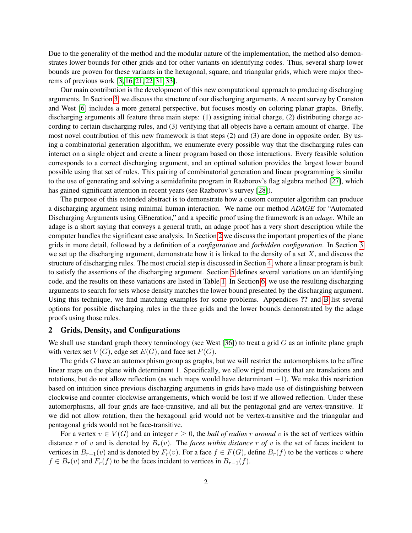Due to the generality of the method and the modular nature of the implementation, the method also demonstrates lower bounds for other grids and for other variants on identifying codes. Thus, several sharp lower bounds are proven for these variants in the hexagonal, square, and triangular grids, which were major theorems of previous work [\[3,](#page-11-9) [16,](#page-11-10) [21,](#page-11-7) [22,](#page-12-1) [31,](#page-12-2) [33\]](#page-12-3).

Our main contribution is the development of this new computational approach to producing discharging arguments. In Section [3,](#page-4-0) we discuss the structure of our discharging arguments. A recent survey by Cranston and West [\[6\]](#page-11-2) includes a more general perspective, but focuses mostly on coloring planar graphs. Briefly, discharging arguments all feature three main steps: (1) assigning initial charge, (2) distributing charge according to certain discharging rules, and (3) verifying that all objects have a certain amount of charge. The most novel contribution of this new framework is that steps (2) and (3) are done in opposite order. By using a combinatorial generation algorithm, we enumerate every possible way that the discharging rules can interact on a single object and create a linear program based on those interactions. Every feasible solution corresponds to a correct discharging argument, and an optimal solution provides the largest lower bound possible using that set of rules. This pairing of combinatorial generation and linear programming is similar to the use of generating and solving a semidefinite program in Razborov's flag algebra method [\[27\]](#page-12-4), which has gained significant attention in recent years (see Razborov's survey [\[28\]](#page-12-5)).

The purpose of this extended abstract is to demonstrate how a custom computer algorithm can produce a discharging argument using minimal human interaction. We name our method *ADAGE* for "Automated Discharging Arguments using GEneration," and a specific proof using the framework is an *adage*. While an adage is a short saying that conveys a general truth, an adage proof has a very short description while the computer handles the significant case analysis. In Section [2](#page-2-0) we discuss the important properties of the plane grids in more detail, followed by a definition of a *configuration* and *forbidden configuration*. In Section [3](#page-4-0) we set up the discharging argument, demonstrate how it is linked to the density of a set  $X$ , and discuss the structure of discharging rules. The most crucial step is discussed in Section [4,](#page-6-0) where a linear program is built to satisfy the assertions of the discharging argument. Section [5](#page-8-0) defines several variations on an identifying code, and the results on these variations are listed in Table [1.](#page-14-0) In Section [6,](#page-9-0) we use the resulting discharging arguments to search for sets whose density matches the lower bound presented by the discharging argument. Using this technique, we find matching examples for some problems. Appendices ?? and [B](#page-14-1) list several options for possible discharging rules in the three grids and the lower bounds demonstrated by the adage proofs using those rules.

#### <span id="page-2-0"></span>2 Grids, Density, and Configurations

We shall use standard graph theory terminology (see West [\[36\]](#page-12-6)) to treat a grid  $G$  as an infinite plane graph with vertex set  $V(G)$ , edge set  $E(G)$ , and face set  $F(G)$ .

The grids  $G$  have an automorphism group as graphs, but we will restrict the automorphisms to be affine linear maps on the plane with determinant 1. Specifically, we allow rigid motions that are translations and rotations, but do not allow reflection (as such maps would have determinant −1). We make this restriction based on intuition since previous discharging arguments in grids have made use of distinguishing between clockwise and counter-clockwise arrangements, which would be lost if we allowed reflection. Under these automorphisms, all four grids are face-transitive, and all but the pentagonal grid are vertex-transitive. If we did not allow rotation, then the hexagonal grid would not be vertex-transitive and the triangular and pentagonal grids would not be face-transitive.

For a vertex  $v \in V(G)$  and an integer  $r \geq 0$ , the *ball of radius* r *around* v is the set of vertices within distance r of v and is denoted by  $B_r(v)$ . The *faces within distance* r of v is the set of faces incident to vertices in  $B_{r-1}(v)$  and is denoted by  $F_r(v)$ . For a face  $f \in F(G)$ , define  $B_r(f)$  to be the vertices v where  $f \in B_r(v)$  and  $F_r(f)$  to be the faces incident to vertices in  $B_{r-1}(f)$ .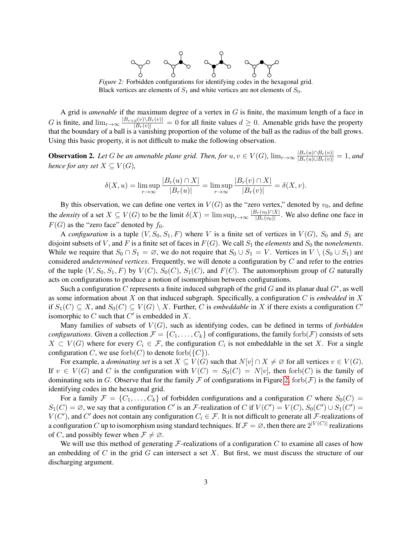

<span id="page-3-0"></span>*Figure 2:* Forbidden configurations for identifying codes in the hexagonal grid. Black vertices are elements of  $S_1$  and white vertices are not elements of  $S_0$ .

A grid is *amenable* if the maximum degree of a vertex in G is finite, the maximum length of a face in G is finite, and  $\lim_{r\to\infty} \frac{|B_{r+d}(v)\setminus B_r(v)|}{|B_r(v)|} = 0$  for all finite values  $d \ge 0$ . Amenable grids have the property that the boundary of a ball is a vanishing proportion of the volume of the ball as the radius of the ball grows. Using this basic property, it is not difficult to make the following observation.

<span id="page-3-1"></span>**Observation 2.** Let G be an amenable plane grid. Then, for  $u, v \in V(G)$ ,  $\lim_{r\to\infty} \frac{|B_r(u) \cap B_r(v)|}{|B_r(u) \cup B_r(v)|} = 1$ , and *hence for any set*  $X \subseteq V(G)$ *,* 

$$
\delta(X, u) = \limsup_{r \to \infty} \frac{|B_r(u) \cap X|}{|B_r(u)|} = \limsup_{r \to \infty} \frac{|B_r(v) \cap X|}{|B_r(v)|} = \delta(X, v).
$$

By this observation, we can define one vertex in  $V(G)$  as the "zero vertex," denoted by  $v_0$ , and define the *density* of a set  $X \subseteq V(G)$  to be the limit  $\delta(X) = \limsup_{r \to \infty} \frac{|B_r(v_0) \cap X|}{|B_r(v_0)|}$  $\frac{|B_r(v_0)| |\Delta|}{|B_r(v_0)|}$ . We also define one face in  $F(G)$  as the "zero face" denoted by  $f_0$ .

A *configuration* is a tuple  $(V, S_0, S_1, F)$  where V is a finite set of vertices in  $V(G)$ ,  $S_0$  and  $S_1$  are disjoint subsets of V, and F is a finite set of faces in  $F(G)$ . We call  $S_1$  the *elements* and  $S_0$  the *nonelements*. While we require that  $S_0 \cap S_1 = \emptyset$ , we do not require that  $S_0 \cup S_1 = V$ . Vertices in  $V \setminus (S_0 \cup S_1)$  are considered *undetermined vertices*. Frequently, we will denote a configuration by C and refer to the entries of the tuple  $(V, S_0, S_1, F)$  by  $V(C)$ ,  $S_0(C)$ ,  $S_1(C)$ , and  $F(C)$ . The automorphism group of G naturally acts on configurations to produce a notion of isomorphism between configurations.

Such a configuration C represents a finite induced subgraph of the grid G and its planar dual  $G^*$ , as well as some information about X on that induced subgraph. Specifically, a configuration C is *embedded* in X if  $S_1(C) \subseteq X$ , and  $S_0(C) \subseteq V(G) \setminus X$ . Further, C is *embeddable* in X if there exists a configuration C' isomorphic to C such that  $C'$  is embedded in X.

Many families of subsets of  $V(G)$ , such as identifying codes, can be defined in terms of *forbidden configurations*. Given a collection  $\mathcal{F} = \{C_1, \ldots, C_k\}$  of configurations, the family forb $(\mathcal{F})$  consists of sets  $X \subset V(G)$  where for every  $C_i \in \mathcal{F}$ , the configuration  $C_i$  is not embeddable in the set X. For a single configuration C, we use forb $(C)$  to denote forb $({C})$ .

For example, a *dominating set* is a set  $X \subseteq V(G)$  such that  $N[v] \cap X \neq \emptyset$  for all vertices  $v \in V(G)$ . If  $v \in V(G)$  and C is the configuration with  $V(C) = S_0(C) = N[v]$ , then forb $(C)$  is the family of dominating sets in G. Observe that for the family F of configurations in Figure [2,](#page-3-0) forb(F) is the family of identifying codes in the hexagonal grid.

For a family  $\mathcal{F} = \{C_1, \ldots, C_k\}$  of forbidden configurations and a configuration C where  $S_0(C)$  =  $S_1(C) = \emptyset$ , we say that a configuration C' is an F-realization of C if  $V(C') = V(C)$ ,  $S_0(C') \cup S_1(C') =$  $V(C')$ , and  $C'$  does not contain any configuration  $C_i \in \mathcal{F}$ . It is not difficult to generate all  $\mathcal{F}$ -realizations of a configuration C up to isomorphism using standard techniques. If  $\mathcal{F} = \emptyset$ , then there are  $2^{|V(C)|}$  realizations of C, and possibly fewer when  $\mathcal{F} \neq \emptyset$ .

We will use this method of generating  $\mathcal F$ -realizations of a configuration C to examine all cases of how an embedding of C in the grid G can intersect a set X. But first, we must discuss the structure of our discharging argument.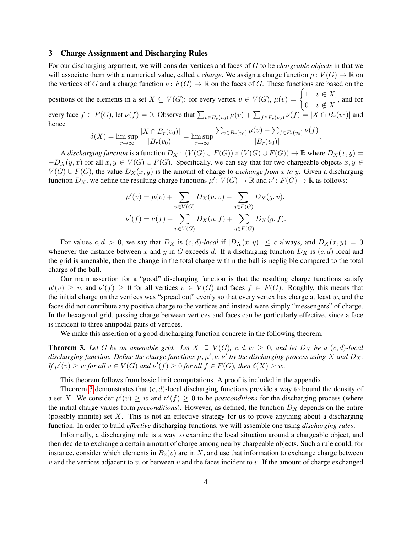#### <span id="page-4-0"></span>3 Charge Assignment and Discharging Rules

For our discharging argument, we will consider vertices and faces of G to be *chargeable objects* in that we will associate them with a numerical value, called a *charge*. We assign a charge function  $\mu: V(G) \to \mathbb{R}$  on the vertices of G and a charge function  $\nu : F(G) \to \mathbb{R}$  on the faces of G. These functions are based on the

positions of the elements in a set  $X \subseteq V(G)$ : for every vertex  $v \in V(G)$ ,  $\mu(v) = \begin{cases} 1 & v \in X, \\ 0 & v \in Y(G) \end{cases}$ 0  $v \notin X$ , and for every face  $f \in F(G)$ , let  $\nu(f) = 0$ . Observe that  $\sum_{v \in B_r(v_0)} \mu(v) + \sum_{f \in F_r(v_0)} \nu(f) = |X \cap B_r(v_0)|$  and hence

$$
\delta(X) = \limsup_{r \to \infty} \frac{|X \cap B_r(v_0)|}{|B_r(v_0)|} = \limsup_{r \to \infty} \frac{\sum_{v \in B_r(v_0)} \mu(v) + \sum_{f \in F_r(v_0)} \nu(f)}{|B_r(v_0)|}
$$

.

A *discharging function* is a function  $D_X: (V(G) \cup F(G)) \times (V(G) \cup F(G)) \rightarrow \mathbb{R}$  where  $D_X(x, y) =$  $-D_X(y, x)$  for all  $x, y \in V(G) \cup F(G)$ . Specifically, we can say that for two chargeable objects  $x, y \in V(G)$  $V(G) \cup F(G)$ , the value  $D_X(x, y)$  is the amount of charge to *exchange from x to y*. Given a discharging function  $D_X$ , we define the resulting charge functions  $\mu' : V(G) \to \mathbb{R}$  and  $\nu' : F(G) \to \mathbb{R}$  as follows:

$$
\mu'(v) = \mu(v) + \sum_{u \in V(G)} D_X(u, v) + \sum_{g \in F(G)} D_X(g, v).
$$
  

$$
\nu'(f) = \nu(f) + \sum_{u \in V(G)} D_X(u, f) + \sum_{g \in F(G)} D_X(g, f).
$$

For values  $c, d > 0$ , we say that  $D_X$  is  $(c, d)$ -local if  $|D_X(x, y)| \leq c$  always, and  $D_X(x, y) = 0$ whenever the distance between x and y in G exceeds d. If a discharging function  $D_X$  is  $(c, d)$ -local and the grid is amenable, then the change in the total charge within the ball is negligible compared to the total charge of the ball.

Our main assertion for a "good" discharging function is that the resulting charge functions satisfy  $\mu'(v) \geq w$  and  $\nu'(f) \geq 0$  for all vertices  $v \in V(G)$  and faces  $f \in F(G)$ . Roughly, this means that the initial charge on the vertices was "spread out" evenly so that every vertex has charge at least w, and the faces did not contribute any positive charge to the vertices and instead were simply "messengers" of charge. In the hexagonal grid, passing charge between vertices and faces can be particularly effective, since a face is incident to three antipodal pairs of vertices.

We make this assertion of a good discharging function concrete in the following theorem.

<span id="page-4-1"></span>**Theorem 3.** Let *G* be an amenable grid. Let  $X ⊆ V(G)$ ,  $c, d, w ≥ 0$ , and let  $D_X$  be a  $(c, d)$ -local discharging function. Define the charge functions  $\mu, \mu', \nu, \nu'$  by the discharging process using X and  $D_X$ . *If*  $\mu'(v) \ge w$  *for all*  $v \in V(G)$  *and*  $\nu'(f) \ge 0$  *for all*  $f \in F(G)$ *, then*  $\delta(X) \ge w$ *.* 

This theorem follows from basic limit computations. A proof is included in the appendix.

Theorem [3](#page-4-1) demonstrates that  $(c, d)$ -local discharging functions provide a way to bound the density of a set X. We consider  $\mu'(v) \geq w$  and  $\nu'(f) \geq 0$  to be *postconditions* for the discharging process (where the initial charge values form *preconditions*). However, as defined, the function  $D<sub>X</sub>$  depends on the entire (possibly infinite) set X. This is not an effective strategy for us to prove anything about a discharging function. In order to build *effective* discharging functions, we will assemble one using *discharging rules*.

Informally, a discharging rule is a way to examine the local situation around a chargeable object, and then decide to exchange a certain amount of charge among nearby chargeable objects. Such a rule could, for instance, consider which elements in  $B_2(v)$  are in X, and use that information to exchange charge between  $v$  and the vertices adjacent to  $v$ , or between  $v$  and the faces incident to  $v$ . If the amount of charge exchanged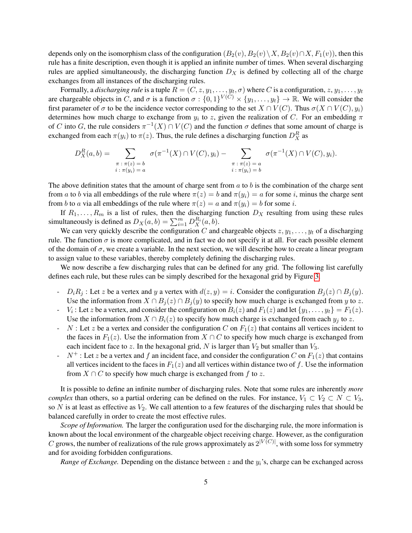depends only on the isomorphism class of the configuration  $(B_2(v), B_2(v)\setminus X, B_2(v)\cap X, F_1(v))$ , then this rule has a finite description, even though it is applied an infinite number of times. When several discharging rules are applied simultaneously, the discharging function  $D<sub>X</sub>$  is defined by collecting all of the charge exchanges from all instances of the discharging rules.

Formally, a *discharging rule* is a tuple  $R = (C, z, y_1, \ldots, y_t, \sigma)$  where  $C$  is a configuration,  $z, y_1, \ldots, y_t$ are chargeable objects in C, and  $\sigma$  is a function  $\sigma: \{0,1\}^{V(C)} \times \{y_1,\ldots,y_t\} \to \mathbb{R}$ . We will consider the first parameter of  $\sigma$  to be the incidence vector corresponding to the set  $X \cap V(C)$ . Thus  $\sigma(X \cap V(C), y_i)$ determines how much charge to exchange from  $y_i$  to z, given the realization of C. For an embedding  $\pi$ of C into G, the rule considers  $\pi^{-1}(X) \cap V(C)$  and the function  $\sigma$  defines that some amount of charge is exchanged from each  $\pi(y_i)$  to  $\pi(z)$ . Thus, the rule defines a discharging function  $D_X^R$  as

$$
D_X^R(a,b) = \sum_{\substack{\pi : \pi(z) = b \\ i : \pi(y_i) = a}} \sigma(\pi^{-1}(X) \cap V(C), y_i) - \sum_{\substack{\pi : \pi(z) = a \\ i : \pi(y_i) = b}} \sigma(\pi^{-1}(X) \cap V(C), y_i).
$$

The above definition states that the amount of charge sent from  $a$  to  $b$  is the combination of the charge sent from a to b via all embeddings of the rule where  $\pi(z) = b$  and  $\pi(y_i) = a$  for some i, minus the charge sent from b to a via all embeddings of the rule where  $\pi(z) = a$  and  $\pi(y_i) = b$  for some i.

If  $R_1, \ldots, R_m$  is a list of rules, then the discharging function  $D_X$  resulting from using these rules simultaneously is defined as  $D_X(a, b) = \sum_{i=1}^m D_X^{R_i}(a, b)$ .

We can very quickly describe the configuration C and chargeable objects  $z, y_1, \ldots, y_t$  of a discharging rule. The function  $\sigma$  is more complicated, and in fact we do not specify it at all. For each possible element of the domain of  $\sigma$ , we create a variable. In the next section, we will describe how to create a linear program to assign value to these variables, thereby completely defining the discharging rules.

We now describe a few discharging rules that can be defined for any grid. The following list carefully defines each rule, but these rules can be simply described for the hexagonal grid by Figure [3.](#page-6-1)

- $D_iR_j$ : Let z be a vertex and y a vertex with  $d(z, y) = i$ . Consider the configuration  $B_j(z) \cap B_j(y)$ . Use the information from  $X \cap B_i(z) \cap B_i(y)$  to specify how much charge is exchanged from y to z.
- $V_i$ : Let z be a vertex, and consider the configuration on  $B_i(z)$  and  $F_1(z)$  and let  $\{y_1, \ldots, y_t\} = F_1(z)$ . Use the information from  $X \cap B_i(z)$  to specify how much charge is exchanged from each  $y_i$  to z.
- $\sim N$  : Let z be a vertex and consider the configuration C on  $F_1(z)$  that contains all vertices incident to the faces in  $F_1(z)$ . Use the information from  $X \cap C$  to specify how much charge is exchanged from each incident face to z. In the hexagonal grid, N is larger than  $V_2$  but smaller than  $V_3$ .
- $N^+$ : Let z be a vertex and f an incident face, and consider the configuration C on  $F_1(z)$  that contains all vertices incident to the faces in  $F_1(z)$  and all vertices within distance two of f. Use the information from  $X \cap C$  to specify how much charge is exchanged from f to z.

It is possible to define an infinite number of discharging rules. Note that some rules are inherently *more complex* than others, so a partial ordering can be defined on the rules. For instance,  $V_1 \subset V_2 \subset N \subset V_3$ , so  $N$  is at least as effective as  $V_2$ . We call attention to a few features of the discharging rules that should be balanced carefully in order to create the most effective rules.

*Scope of Information.* The larger the configuration used for the discharging rule, the more information is known about the local environment of the chargeable object receiving charge. However, as the configuration C grows, the number of realizations of the rule grows approximately as  $2^{|V(C)|}$ , with some loss for symmetry and for avoiding forbidden configurations.

*Range of Exchange.* Depending on the distance between  $z$  and the  $y_i$ 's, charge can be exchanged across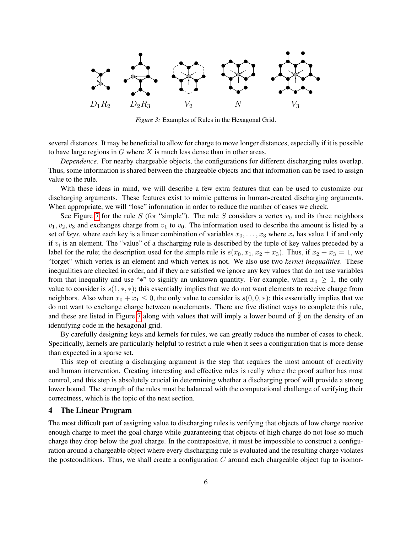<span id="page-6-1"></span>

*Figure 3:* Examples of Rules in the Hexagonal Grid.

several distances. It may be beneficial to allow for charge to move longer distances, especially if it is possible to have large regions in  $G$  where  $X$  is much less dense than in other areas.

*Dependence.* For nearby chargeable objects, the configurations for different discharging rules overlap. Thus, some information is shared between the chargeable objects and that information can be used to assign value to the rule.

With these ideas in mind, we will describe a few extra features that can be used to customize our discharging arguments. These features exist to mimic patterns in human-created discharging arguments. When appropriate, we will "lose" information in order to reduce the number of cases we check.

See Figure [7](#page-16-0) for the rule S (for "simple"). The rule S considers a vertex  $v_0$  and its three neighbors  $v_1, v_2, v_3$  and exchanges charge from  $v_1$  to  $v_0$ . The information used to describe the amount is listed by a set of *keys*, where each key is a linear combination of variables  $x_0, \ldots, x_3$  where  $x_i$  has value 1 if and only if  $v_i$  is an element. The "value" of a discharging rule is described by the tuple of key values preceded by a label for the rule; the description used for the simple rule is  $s(x_0, x_1, x_2 + x_3)$ . Thus, if  $x_2 + x_3 = 1$ , we "forget" which vertex is an element and which vertex is not. We also use two *kernel inequalities*. These inequalities are checked in order, and if they are satisfied we ignore any key values that do not use variables from that inequality and use "\*" to signify an unknown quantity. For example, when  $x_0 \geq 1$ , the only value to consider is  $s(1, *, *)$ ; this essentially implies that we do not want elements to receive charge from neighbors. Also when  $x_0 + x_1 \le 0$ , the only value to consider is  $s(0, 0, *)$ ; this essentially implies that we do not want to exchange charge between nonelements. There are five distinct ways to complete this rule, and these are listed in Figure [7](#page-16-0) along with values that will imply a lower bound of  $\frac{2}{5}$  on the density of an identifying code in the hexagonal grid.

By carefully designing keys and kernels for rules, we can greatly reduce the number of cases to check. Specifically, kernels are particularly helpful to restrict a rule when it sees a configuration that is more dense than expected in a sparse set.

This step of creating a discharging argument is the step that requires the most amount of creativity and human intervention. Creating interesting and effective rules is really where the proof author has most control, and this step is absolutely crucial in determining whether a discharging proof will provide a strong lower bound. The strength of the rules must be balanced with the computational challenge of verifying their correctness, which is the topic of the next section.

#### <span id="page-6-0"></span>4 The Linear Program

The most difficult part of assigning value to discharging rules is verifying that objects of low charge receive enough charge to meet the goal charge while guaranteeing that objects of high charge do not lose so much charge they drop below the goal charge. In the contrapositive, it must be impossible to construct a configuration around a chargeable object where every discharging rule is evaluated and the resulting charge violates the postconditions. Thus, we shall create a configuration  $C$  around each chargeable object (up to isomor-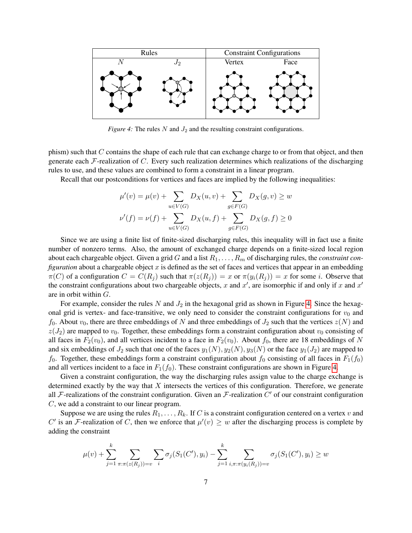<span id="page-7-0"></span>

*Figure 4:* The rules  $N$  and  $J_2$  and the resulting constraint configurations.

phism) such that C contains the shape of each rule that can exchange charge to or from that object, and then generate each  $\mathcal F$ -realization of C. Every such realization determines which realizations of the discharging rules to use, and these values are combined to form a constraint in a linear program.

Recall that our postconditions for vertices and faces are implied by the following inequalities:

$$
\mu'(v) = \mu(v) + \sum_{u \in V(G)} D_X(u, v) + \sum_{g \in F(G)} D_X(g, v) \ge w
$$
  

$$
\nu'(f) = \nu(f) + \sum_{u \in V(G)} D_X(u, f) + \sum_{g \in F(G)} D_X(g, f) \ge 0
$$

Since we are using a finite list of finite-sized discharging rules, this inequality will in fact use a finite number of nonzero terms. Also, the amount of exchanged charge depends on a finite-sized local region about each chargeable object. Given a grid G and a list  $R_1, \ldots, R_m$  of discharging rules, the *constraint configuration* about a chargeable object x is defined as the set of faces and vertices that appear in an embedding  $\pi(C)$  of a configuration  $C = C(R_i)$  such that  $\pi(z(R_i)) = x$  or  $\pi(y_i(R_i)) = x$  for some i. Observe that the constraint configurations about two chargeable objects, x and  $x'$ , are isomorphic if and only if x and  $x'$ are in orbit within G.

For example, consider the rules N and  $J_2$  in the hexagonal grid as shown in Figure [4.](#page-7-0) Since the hexagonal grid is vertex- and face-transitive, we only need to consider the constraint configurations for  $v_0$  and  $f_0$ . About  $v_0$ , there are three embeddings of N and three embeddings of  $J_2$  such that the vertices  $z(N)$  and  $z(J_2)$  are mapped to  $v_0$ . Together, these embeddings form a constraint configuration about  $v_0$  consisting of all faces in  $F_2(v_0)$ , and all vertices incident to a face in  $F_2(v_0)$ . About  $f_0$ , there are 18 embeddings of N and six embeddings of  $J_2$  such that one of the faces  $y_1(N), y_2(N), y_3(N)$  or the face  $y_1(J_2)$  are mapped to  $f_0$ . Together, these embeddings form a constraint configuration about  $f_0$  consisting of all faces in  $F_1(f_0)$ and all vertices incident to a face in  $F_1(f_0)$ . These constraint configurations are shown in Figure [4.](#page-7-0)

Given a constraint configuration, the way the discharging rules assign value to the charge exchange is determined exactly by the way that  $X$  intersects the vertices of this configuration. Therefore, we generate all F-realizations of the constraint configuration. Given an F-realization  $C'$  of our constraint configuration C, we add a constraint to our linear program.

Suppose we are using the rules  $R_1, \ldots, R_k$ . If C is a constraint configuration centered on a vertex v and C' is an F-realization of C, then we enforce that  $\mu'(v) \geq w$  after the discharging process is complete by adding the constraint

$$
\mu(v) + \sum_{j=1}^{k} \sum_{\pi: \pi(z(R_j)) = v} \sum_{i} \sigma_j(S_1(C'), y_i) - \sum_{j=1}^{k} \sum_{i, \pi: \pi(y_i(R_j)) = v} \sigma_j(S_1(C'), y_i) \ge w
$$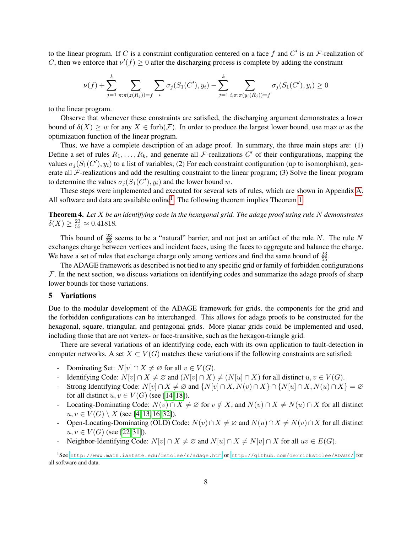to the linear program. If C is a constraint configuration centered on a face f and  $C'$  is an F-realization of C, then we enforce that  $\nu'(f) \geq 0$  after the discharging process is complete by adding the constraint

$$
\nu(f) + \sum_{j=1}^{k} \sum_{\pi: \pi(z(R_j)) = f} \sum_{i} \sigma_j(S_1(C'), y_i) - \sum_{j=1}^{k} \sum_{i, \pi: \pi(y_i(R_j)) = f} \sigma_j(S_1(C'), y_i) \ge 0
$$

to the linear program.

Observe that whenever these constraints are satisfied, the discharging argument demonstrates a lower bound of  $\delta(X) \geq w$  for any  $X \in \text{forb}(\mathcal{F})$ . In order to produce the largest lower bound, use max w as the optimization function of the linear program.

Thus, we have a complete description of an adage proof. In summary, the three main steps are: (1) Define a set of rules  $R_1, \ldots, R_k$ , and generate all F-realizations C' of their configurations, mapping the values  $\sigma_j(S_1(C'), y_i)$  to a list of variables; (2) For each constraint configuration (up to isomorphism), generate all  $\mathcal F$ -realizations and add the resulting constraint to the linear program; (3) Solve the linear program to determine the values  $\sigma_j(S_1(C'), y_i)$  and the lower bound w.

These steps were implemented and executed for several sets of rules, which are shown in Appendix [A.](#page-13-0) All software and data are available online<sup>[1](#page-8-1)</sup>. The following theorem implies Theorem [1.](#page-1-1)

Theorem 4. *Let* X *be an identifying code in the hexagonal grid. The adage proof using rule* N *demonstrates*  $\delta(X) \ge \frac{23}{55} \approx 0.41818.$ 

This bound of  $\frac{23}{55}$  seems to be a "natural" barrier, and not just an artifact of the rule N. The rule N exchanges charge between vertices and incident faces, using the faces to aggregate and balance the charge. We have a set of rules that exchange charge only among vertices and find the same bound of  $\frac{23}{55}$ .

The ADAGE framework as described is not tied to any specific grid or family of forbidden configurations  $F$ . In the next section, we discuss variations on identifying codes and summarize the adage proofs of sharp lower bounds for those variations.

## <span id="page-8-0"></span>5 Variations

Due to the modular development of the ADAGE framework for grids, the components for the grid and the forbidden configurations can be interchanged. This allows for adage proofs to be constructed for the hexagonal, square, triangular, and pentagonal grids. More planar grids could be implemented and used, including those that are not vertex- or face-transitive, such as the hexagon-triangle grid.

There are several variations of an identifying code, each with its own application to fault-detection in computer networks. A set  $X \subset V(G)$  matches these variations if the following constraints are satisfied:

- Dominating Set:  $N[v] \cap X \neq \emptyset$  for all  $v \in V(G)$ .
- Identifying Code:  $N[v] \cap X \neq \emptyset$  and  $(N[v] \cap X) \neq (N[u] \cap X)$  for all distinct  $u, v \in V(G)$ .
- Strong Identifying Code:  $N[v] \cap X \neq \emptyset$  and  $\{N[v] \cap X, N(v) \cap X\} \cap \{N[u] \cap X, N(u) \cap X\} = \emptyset$ for all distinct  $u, v \in V(G)$  (see [\[14,](#page-11-11) [18\]](#page-11-12)).
- Locating-Dominating Code:  $N(v) \cap X \neq \emptyset$  for  $v \notin X$ , and  $N(v) \cap X \neq N(u) \cap X$  for all distinct  $u, v \in V(G) \setminus X$  (see [\[4,](#page-11-13) [13,](#page-11-14) [16,](#page-11-10) [32\]](#page-12-7)).
- Open-Locating-Dominating (OLD) Code:  $N(v) \cap X \neq \emptyset$  and  $N(u) \cap X \neq N(v) \cap X$  for all distinct  $u, v \in V(G)$  (see [\[22,](#page-12-1) [31\]](#page-12-2)).
- Neighbor-Identifying Code:  $N[v] \cap X \neq \emptyset$  and  $N[u] \cap X \neq N[v] \cap X$  for all  $uv \in E(G)$ .

<span id="page-8-1"></span><sup>&</sup>lt;sup>1</sup>See <http://www.math.iastate.edu/dstolee/r/adage.htm> or <http://github.com/derrickstolee/ADAGE/> for all software and data.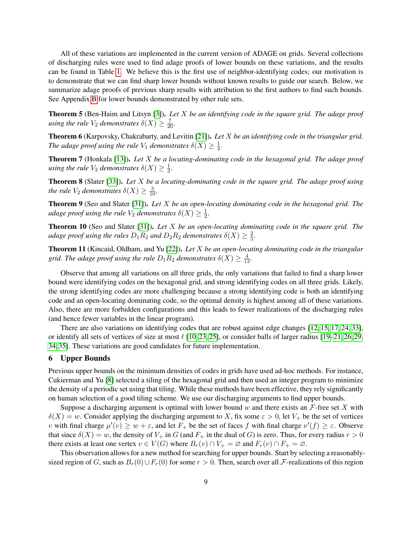All of these variations are implemented in the current version of ADAGE on grids. Several collections of discharging rules were used to find adage proofs of lower bounds on these variations, and the results can be found in Table [1.](#page-14-0) We believe this is the first use of neighbor-identifying codes; our motivation is to demonstrate that we can find sharp lower bounds without known results to guide our search. Below, we summarize adage proofs of previous sharp results with attribution to the first authors to find such bounds. See Appendix [B](#page-14-1) for lower bounds demonstrated by other rule sets.

Theorem 5 (Ben-Haim and Litsyn [\[3\]](#page-11-9)). *Let* X *be an identifying code in the square grid. The adage proof using the rule*  $V_2$  *demonstrates*  $\delta(X) \geq \frac{7}{20}$ *.* 

Theorem 6 (Karpovsky, Chakrabarty, and Levitin [\[21\]](#page-11-7)). *Let* X *be an identifying code in the triangular grid. The adage proof using the rule*  $V_1$  *demonstrates*  $\delta(X) \geq \frac{1}{4}$ 4 *.*

Theorem 7 (Honkala [\[13\]](#page-11-14)). *Let* X *be a locating-dominating code in the hexagonal grid. The adage proof using the rule*  $V_2$  *demonstrates*  $\delta(X) \geq \frac{1}{3}$  $\frac{1}{3}$ .

Theorem 8 (Slater [\[33\]](#page-12-3)). *Let* X *be a locating-dominating code in the square grid. The adage proof using the rule*  $V_2$  *demonstrates*  $\delta(X) \geq \frac{3}{10}$ *.* 

Theorem 9 (Seo and Slater [\[31\]](#page-12-2)). *Let* X *be an open-locating dominating code in the hexagonal grid. The* adage proof using the rule  $V_2$  demonstrates  $\delta(X) \geq \frac{1}{2}$  $\frac{1}{2}$ .

Theorem 10 (Seo and Slater [\[31\]](#page-12-2)). *Let* X *be an open-locating dominating code in the square grid. The adage proof using the rules*  $D_1R_2$  *and*  $D_2R_2$  *demonstrates*  $\delta(X) \geq \frac{2}{5}$ 5 *.*

Theorem 11 (Kincaid, Oldham, and Yu [\[22\]](#page-12-1)). *Let* X *be an open-locating dominating code in the triangular* grid. The adage proof using the rule  $D_1R_2$  demonstrates  $\delta(X) \geq \frac{4}{13}$ .

Observe that among all variations on all three grids, the only variations that failed to find a sharp lower bound were identifying codes on the hexagonal grid, and strong identifying codes on all three grids. Likely, the strong identifying codes are more challenging because a strong identifying code is both an identifying code and an open-locating dominating code, so the optimal density is highest among all of these variations. Also, there are more forbidden configurations and this leads to fewer realizations of the discharging rules (and hence fewer variables in the linear program).

There are also variations on identifying codes that are robust against edge changes [\[12,](#page-11-15) [15,](#page-11-16) [17,](#page-11-17) [24,](#page-12-8) [33\]](#page-12-3), or identify all sets of vertices of size at most  $\ell$  [\[10,](#page-11-18) [23,](#page-12-9) [25\]](#page-12-10), or consider balls of larger radius [\[19–](#page-11-19)[21,](#page-11-7) [26,](#page-12-11) [29,](#page-12-12) [34,](#page-12-13) [35\]](#page-12-14). These variations are good candidates for future implementation.

#### <span id="page-9-0"></span>6 Upper Bounds

Previous upper bounds on the minimum densities of codes in grids have used ad-hoc methods. For instance, Cukierman and Yu [\[8\]](#page-11-4) selected a tiling of the hexagonal grid and then used an integer program to minimize the density of a periodic set using that tiling. While these methods have been effective, they rely significantly on human selection of a good tiling scheme. We use our discharging arguments to find upper bounds.

Suppose a discharging argument is optimal with lower bound w and there exists an  $\mathcal F$ -free set X with  $\delta(X) = w$ . Consider applying the discharging argument to X, fix some  $\varepsilon > 0$ , let  $V_+$  be the set of vertices v with final charge  $\mu'(v) \ge w + \varepsilon$ , and let  $F_+$  be the set of faces f with final charge  $\nu'(f) \ge \varepsilon$ . Observe that since  $\delta(X) = w$ , the density of  $V_+$  in G (and  $F_+$  in the dual of G) is zero. Thus, for every radius  $r > 0$ there exists at least one vertex  $v \in V(G)$  where  $B_r(v) \cap V_+ = \emptyset$  and  $F_r(v) \cap F_+ = \emptyset$ .

This observation allows for a new method for searching for upper bounds. Start by selecting a reasonablysized region of G, such as  $B_r(0) \cup F_r(0)$  for some  $r > 0$ . Then, search over all F-realizations of this region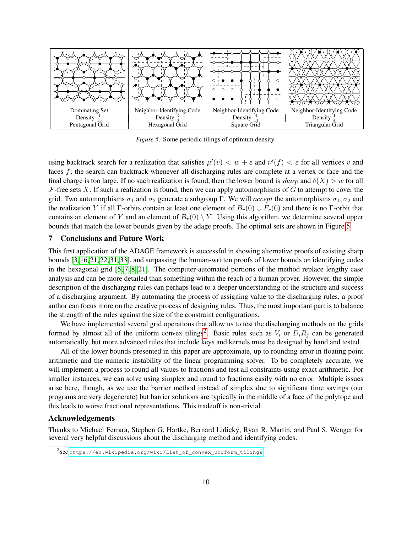<span id="page-10-1"></span>

*Figure 5:* Some periodic tilings of optimum density.

using backtrack search for a realization that satisfies  $\mu'(v) < w + \varepsilon$  and  $\nu'(f) < \varepsilon$  for all vertices v and faces f; the search can backtrack whenever all discharging rules are complete at a vertex or face and the final charge is too large. If no such realization is found, then the lower bound is *sharp* and  $\delta(X) > w$  for all  $F$ -free sets X. If such a realization is found, then we can apply automorphisms of G to attempt to cover the grid. Two automorphisms  $\sigma_1$  and  $\sigma_2$  generate a subgroup Γ. We will *accept* the automorphisms  $\sigma_1, \sigma_2$  and the realization Y if all Γ-orbits contain at least one element of  $B_r(0) \cup F_r(0)$  and there is no Γ-orbit that contains an element of Y and an element of  $B_r(0) \setminus Y$ . Using this algorithm, we determine several upper bounds that match the lower bounds given by the adage proofs. The optimal sets are shown in Figure [5.](#page-10-1)

#### <span id="page-10-0"></span>7 Conclusions and Future Work

This first application of the ADAGE framework is successful in showing alternative proofs of existing sharp bounds [\[3,](#page-11-9) [16,](#page-11-10) [21,](#page-11-7) [22,](#page-12-1) [31,](#page-12-2) [33\]](#page-12-3), and surpassing the human-written proofs of lower bounds on identifying codes in the hexagonal grid [\[5,](#page-11-8) [7,](#page-11-3) [8,](#page-11-4) [21\]](#page-11-7). The computer-automated portions of the method replace lengthy case analysis and can be more detailed than something within the reach of a human prover. However, the simple description of the discharging rules can perhaps lead to a deeper understanding of the structure and success of a discharging argument. By automating the process of assigning value to the discharging rules, a proof author can focus more on the creative process of designing rules. Thus, the most important part is to balance the strength of the rules against the size of the constraint configurations.

We have implemented several grid operations that allow us to test the discharging methods on the grids formed by almost all of the uniform convex tilings<sup>[2](#page-10-2)</sup>. Basic rules such as  $V_i$  or  $D_i R_j$  can be generated automatically, but more advanced rules that include keys and kernels must be designed by hand and tested.

All of the lower bounds presented in this paper are approximate, up to rounding error in floating point arithmetic and the numeric instability of the linear programming solver. To be completely accurate, we will implement a process to round all values to fractions and test all constraints using exact arithmetic. For smaller instances, we can solve using simplex and round to fractions easily with no error. Multiple issues arise here, though, as we use the barrier method instead of simplex due to significant time savings (our programs are very degenerate) but barrier solutions are typically in the middle of a face of the polytope and this leads to worse fractional representations. This tradeoff is non-trivial.

## Acknowledgements

Thanks to Michael Ferrara, Stephen G. Hartke, Bernard Lidický, Ryan R. Martin, and Paul S. Wenger for several very helpful discussions about the discharging method and identifying codes.

<span id="page-10-2"></span> $^{2}$ See [https://en.wikipedia.org/wiki/List\\_of\\_convex\\_uniform\\_tilings](https://en.wikipedia.org/wiki/List_of_convex_uniform_tilings).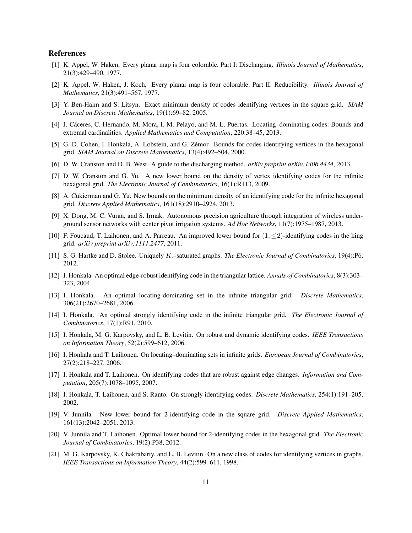#### References

- <span id="page-11-0"></span>[1] K. Appel, W. Haken, Every planar map is four colorable. Part I: Discharging. *Illinois Journal of Mathematics*, 21(3):429–490, 1977.
- <span id="page-11-1"></span>[2] K. Appel, W. Haken, J. Koch, Every planar map is four colorable. Part II: Reducibility. *Illinois Journal of Mathematics*, 21(3):491–567, 1977.
- <span id="page-11-9"></span>[3] Y. Ben-Haim and S. Litsyn. Exact minimum density of codes identifying vertices in the square grid. *SIAM Journal on Discrete Mathematics*, 19(1):69–82, 2005.
- <span id="page-11-13"></span>[4] J. Cáceres, C. Hernando, M. Mora, I. M. Pelayo, and M. L. Puertas. Locating–dominating codes: Bounds and extremal cardinalities. *Applied Mathematics and Computation*, 220:38–45, 2013.
- <span id="page-11-8"></span>[5] G. D. Cohen, I. Honkala, A. Lobstein, and G. Zémor. Bounds for codes identifying vertices in the hexagonal grid. *SIAM Journal on Discrete Mathematics*, 13(4):492–504, 2000.
- <span id="page-11-2"></span>[6] D. W. Cranston and D. B. West. A guide to the discharging method. *arXiv preprint arXiv:1306.4434*, 2013.
- <span id="page-11-3"></span>[7] D. W. Cranston and G. Yu. A new lower bound on the density of vertex identifying codes for the infinite hexagonal grid. *The Electronic Journal of Combinatorics*, 16(1):R113, 2009.
- <span id="page-11-4"></span>[8] A. Cukierman and G. Yu. New bounds on the minimum density of an identifying code for the infinite hexagonal grid. *Discrete Applied Mathematics*, 161(18):2910–2924, 2013.
- <span id="page-11-6"></span>[9] X. Dong, M. C. Vuran, and S. Irmak. Autonomous precision agriculture through integration of wireless underground sensor networks with center pivot irrigation systems. *Ad Hoc Networks*, 11(7):1975–1987, 2013.
- <span id="page-11-18"></span>[10] F. Foucaud, T. Laihonen, and A. Parreau. An improved lower bound for  $(1, \leq 2)$ -identifying codes in the king grid. *arXiv preprint arXiv:1111.2477*, 2011.
- <span id="page-11-5"></span>[11] S. G. Hartke and D. Stolee. Uniquely Kr-saturated graphs. *The Electronic Journal of Combinatorics*, 19(4):P6, 2012.
- <span id="page-11-15"></span>[12] I. Honkala. An optimal edge-robust identifying code in the triangular lattice. *Annals of Combinatorics*, 8(3):303– 323, 2004.
- <span id="page-11-14"></span>[13] I. Honkala. An optimal locating-dominating set in the infinite triangular grid. *Discrete Mathematics*, 306(21):2670–2681, 2006.
- <span id="page-11-11"></span>[14] I. Honkala. An optimal strongly identifying code in the infinite triangular grid. *The Electronic Journal of Combinatorics*, 17(1):R91, 2010.
- <span id="page-11-16"></span>[15] I. Honkala, M. G. Karpovsky, and L. B. Levitin. On robust and dynamic identifying codes. *IEEE Transactions on Information Theory*, 52(2):599–612, 2006.
- <span id="page-11-10"></span>[16] I. Honkala and T. Laihonen. On locating–dominating sets in infinite grids. *European Journal of Combinatorics*, 27(2):218–227, 2006.
- <span id="page-11-17"></span>[17] I. Honkala and T. Laihonen. On identifying codes that are robust against edge changes. *Information and Computation*, 205(7):1078–1095, 2007.
- <span id="page-11-12"></span>[18] I. Honkala, T. Laihonen, and S. Ranto. On strongly identifying codes. *Discrete Mathematics*, 254(1):191–205, 2002.
- <span id="page-11-19"></span>[19] V. Junnila. New lower bound for 2-identifying code in the square grid. *Discrete Applied Mathematics*, 161(13):2042–2051, 2013.
- [20] V. Junnila and T. Laihonen. Optimal lower bound for 2-identifying codes in the hexagonal grid. *The Electronic Journal of Combinatorics*, 19(2):P38, 2012.
- <span id="page-11-7"></span>[21] M. G. Karpovsky, K. Chakrabarty, and L. B. Levitin. On a new class of codes for identifying vertices in graphs. *IEEE Transactions on Information Theory*, 44(2):599–611, 1998.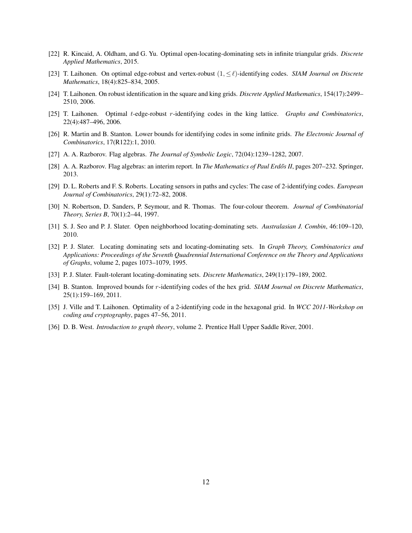- <span id="page-12-1"></span>[22] R. Kincaid, A. Oldham, and G. Yu. Optimal open-locating-dominating sets in infinite triangular grids. *Discrete Applied Mathematics*, 2015.
- <span id="page-12-9"></span>[23] T. Laihonen. On optimal edge-robust and vertex-robust (1, ≤`)-identifying codes. *SIAM Journal on Discrete Mathematics*, 18(4):825–834, 2005.
- <span id="page-12-8"></span>[24] T. Laihonen. On robust identification in the square and king grids. *Discrete Applied Mathematics*, 154(17):2499– 2510, 2006.
- <span id="page-12-10"></span>[25] T. Laihonen. Optimal t-edge-robust r-identifying codes in the king lattice. *Graphs and Combinatorics*, 22(4):487–496, 2006.
- <span id="page-12-11"></span>[26] R. Martin and B. Stanton. Lower bounds for identifying codes in some infinite grids. *The Electronic Journal of Combinatorics*, 17(R122):1, 2010.
- <span id="page-12-4"></span>[27] A. A. Razborov. Flag algebras. *The Journal of Symbolic Logic*, 72(04):1239–1282, 2007.
- <span id="page-12-5"></span>[28] A. A. Razborov. Flag algebras: an interim report. In *The Mathematics of Paul Erdős II*, pages 207–232. Springer, 2013.
- <span id="page-12-12"></span>[29] D. L. Roberts and F. S. Roberts. Locating sensors in paths and cycles: The case of 2-identifying codes. *European Journal of Combinatorics*, 29(1):72–82, 2008.
- <span id="page-12-0"></span>[30] N. Robertson, D. Sanders, P. Seymour, and R. Thomas. The four-colour theorem. *Journal of Combinatorial Theory, Series B*, 70(1):2–44, 1997.
- <span id="page-12-2"></span>[31] S. J. Seo and P. J. Slater. Open neighborhood locating-dominating sets. *Australasian J. Combin*, 46:109–120, 2010.
- <span id="page-12-7"></span>[32] P. J. Slater. Locating dominating sets and locating-dominating sets. In *Graph Theory, Combinatorics and Applications: Proceedings of the Seventh Quadrennial International Conference on the Theory and Applications of Graphs*, volume 2, pages 1073–1079, 1995.
- <span id="page-12-3"></span>[33] P. J. Slater. Fault-tolerant locating-dominating sets. *Discrete Mathematics*, 249(1):179–189, 2002.
- <span id="page-12-13"></span>[34] B. Stanton. Improved bounds for r-identifying codes of the hex grid. *SIAM Journal on Discrete Mathematics*, 25(1):159–169, 2011.
- <span id="page-12-14"></span>[35] J. Ville and T. Laihonen. Optimality of a 2-identifying code in the hexagonal grid. In *WCC 2011-Workshop on coding and cryptography*, pages 47–56, 2011.
- <span id="page-12-6"></span>[36] D. B. West. *Introduction to graph theory*, volume 2. Prentice Hall Upper Saddle River, 2001.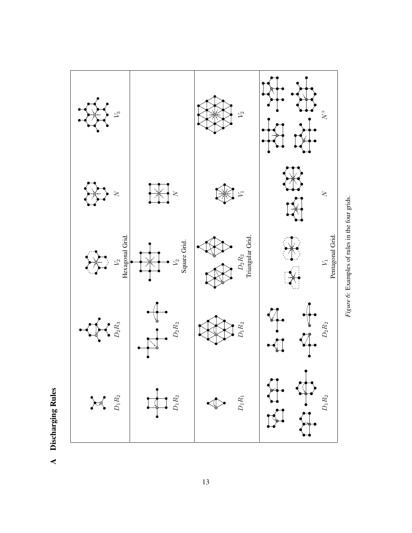

Figure 6: Examples of rules in the four grids. *Figure 6:* Examples of rules in the four grids.

<span id="page-13-0"></span>**A** Discharging Rules Discharging Rules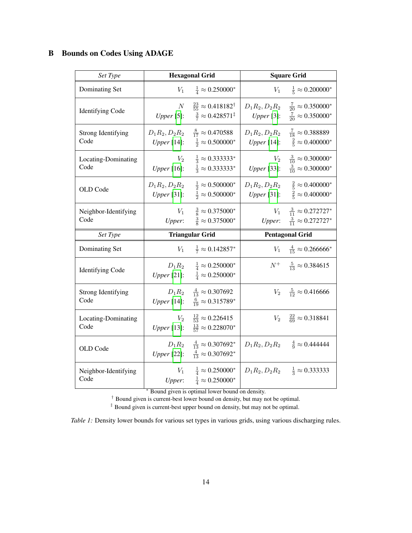<span id="page-14-1"></span><span id="page-14-0"></span>

|  | <b>B</b> Bounds on Codes Using ADAGE |  |  |  |  |
|--|--------------------------------------|--|--|--|--|
|--|--------------------------------------|--|--|--|--|

| Set Type                          |                                 | <b>Hexagonal Grid</b>                                                                   | <b>Square Grid</b>              |                                                                                      |  |
|-----------------------------------|---------------------------------|-----------------------------------------------------------------------------------------|---------------------------------|--------------------------------------------------------------------------------------|--|
| Dominating Set                    | $V_1$                           | $\frac{1}{4} \approx 0.250000^*$                                                        | $V_1$                           | $\frac{1}{5} \approx 0.200000*$                                                      |  |
| <b>Identifying Code</b>           | $\cal N$<br>Upper [5]:          | $\frac{23}{55} \approx 0.418182^{\dagger}$<br>$\frac{3}{7} \approx 0.428571^{\ddagger}$ | $D_1R_2, D_2R_2$<br>Upper [3]:  | $\frac{7}{20} \approx 0.350000^*$<br>$\frac{7}{20} \approx 0.350000^*$               |  |
| <b>Strong Identifying</b><br>Code | $D_1R_2, D_2R_2$<br>Upper [14]: | $\frac{8}{17} \approx 0.470588$<br>$\frac{1}{2} \approx 0.500000^*$                     | $D_1R_2, D_2R_2$<br>Upper [14]: | $\frac{7}{18} \approx 0.388889$<br>$\frac{2}{5} \approx 0.400000*$                   |  |
| Locating-Dominating<br>Code       | $V_{2}$<br><i>Upper</i> [16]:   | $\frac{1}{3} \approx 0.333333^*$<br>$\frac{1}{3} \approx 0.333333^*$                    | $V_2$<br><i>Upper</i> [33]:     | $\frac{3}{10} \approx 0.300000*$<br>$\frac{3}{10} \approx 0.300000*$                 |  |
| OLD Code                          | $D_1R_2, D_2R_2$<br>Upper [31]: | $\frac{1}{2} \approx 0.500000^*$<br>$\frac{1}{2} \approx 0.500000^*$                    | Upper [31]:                     | $D_1 R_2, D_2 R_2 \frac{2}{5} \approx 0.400000^*$<br>$\frac{2}{5} \approx 0.400000*$ |  |
| Neighbor-Identifying<br>Code      | $V_1$                           | $\frac{3}{8} \approx 0.375000^*$<br><i>Upper</i> : $\frac{3}{8} \approx 0.375000^*$     | $V_1$<br>Upper:                 | $\frac{3}{11} \approx 0.272727^*$<br>$\frac{3}{11} \approx 0.272727^*$               |  |
|                                   |                                 |                                                                                         |                                 |                                                                                      |  |
| Set Type                          |                                 | <b>Triangular Grid</b>                                                                  |                                 | <b>Pentagonal Grid</b>                                                               |  |
| Dominating Set                    | $V_1$                           | $\frac{1}{7} \approx 0.142857^*$                                                        |                                 | $V_1 \frac{4}{15} \approx 0.266666^*$                                                |  |
| <b>Identifying Code</b>           | Upper [21]:                     | $D_1 R_2 = \frac{1}{4} \approx 0.250000^*$<br>$\frac{1}{4} \approx 0.250000^*$          |                                 | $N^+$ $\frac{5}{13} \approx 0.384615$                                                |  |
| <b>Strong Identifying</b><br>Code | Upper [14]:                     | $D_1 R_2 \frac{4}{13} \approx 0.307692$<br>$\frac{6}{19} \approx 0.315789^*$            | $V_2$                           | $\frac{5}{12} \approx 0.416666$                                                      |  |
| Locating-Dominating<br>Code       | $V_2$<br><i>Upper</i> [13]:     | $\frac{12}{53} \approx 0.226415$<br>$\frac{13}{57} \approx 0.228070^*$                  | $V_2$                           | $\frac{22}{69} \approx 0.318841$                                                     |  |
| OLD Code                          | Upper [22]:                     | $D_1 R_2 \frac{4}{13} \approx 0.307692^*$<br>$\frac{4}{13} \approx 0.307692^*$          | $D_1 R_2, D_2 R_2$              | $\frac{4}{9} \approx 0.444444$                                                       |  |

<sup>∗</sup> Bound given is optimal lower bound on density.

† Bound given is current-best lower bound on density, but may not be optimal.

‡ Bound given is current-best upper bound on density, but may not be optimal.

*Table 1:* Density lower bounds for various set types in various grids, using various discharging rules.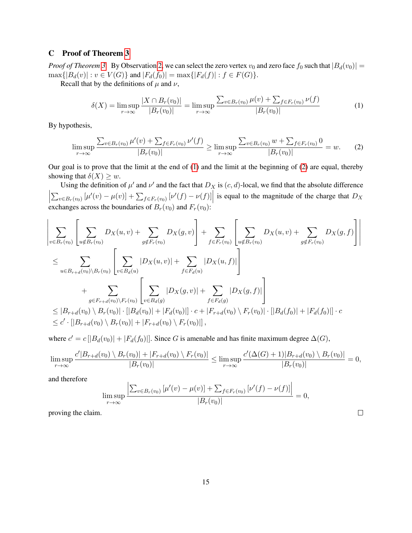## C Proof of Theorem [3](#page-4-1)

*Proof of Theorem* [3.](#page-4-1) By Observation [2,](#page-3-1) we can select the zero vertex  $v_0$  and zero face  $f_0$  such that  $|B_d(v_0)| =$  $\max\{|B_d(v)| : v \in V(G)\}\$  and  $|F_d(f_0)| = \max\{|F_d(f)| : f \in F(G)\}.$ 

Recall that by the definitions of  $\mu$  and  $\nu$ ,

<span id="page-15-0"></span>
$$
\delta(X) = \limsup_{r \to \infty} \frac{|X \cap B_r(v_0)|}{|B_r(v_0)|} = \limsup_{r \to \infty} \frac{\sum_{v \in B_r(v_0)} \mu(v) + \sum_{f \in F_r(v_0)} \nu(f)}{|B_r(v_0)|}
$$
(1)

By hypothesis,

<span id="page-15-1"></span>
$$
\limsup_{r \to \infty} \frac{\sum_{v \in B_r(v_0)} \mu'(v) + \sum_{f \in F_r(v_0)} \nu'(f)}{|B_r(v_0)|} \ge \limsup_{r \to \infty} \frac{\sum_{v \in B_r(v_0)} w + \sum_{f \in F_r(v_0)} 0}{|B_r(v_0)|} = w.
$$
 (2)

Our goal is to prove that the limit at the end of [\(1\)](#page-15-0) and the limit at the beginning of [\(2\)](#page-15-1) are equal, thereby showing that  $\delta(X) \geq w$ .

Using the definition of  $\mu'$  and  $\nu'$  and the fact that  $D_X$  is  $(c, d)$ -local, we find that the absolute difference  $\begin{array}{c} \begin{array}{c} \begin{array}{c} \end{array} \\ \begin{array}{c} \end{array} \end{array} \end{array}$  $\sum_{v \in B_r(v_0)} [\mu'(v) - \mu(v)] + \sum_{f \in F_r(v_0)} [\nu'(f) - \nu(f)]$  is equal to the magnitude of the charge that  $D_X$ exchanges across the boundaries of  $B_r(v_0)$  and  $F_r(v_0)$ :

$$
\left| \sum_{v \in B_r(v_0)} \left[ \sum_{u \notin B_r(v_0)} D_X(u, v) + \sum_{g \notin F_r(v_0)} D_X(g, v) \right] + \sum_{f \in F_r(v_0)} \left[ \sum_{u \notin B_r(v_0)} D_X(u, v) + \sum_{g \notin F_r(v_0)} D_X(g, f) \right] \right|
$$
  
\n
$$
\leq \sum_{u \in B_{r+d}(v_0) \setminus B_r(v_0)} \left[ \sum_{v \in B_d(u)} |D_X(u, v)| + \sum_{f \in F_d(u)} |D_X(u, f)| \right]
$$
  
\n
$$
+ \sum_{g \in F_{r+d}(v_0) \setminus F_r(v_0)} \left[ \sum_{v \in B_d(g)} |D_X(g, v)| + \sum_{f \in F_d(g)} |D_X(g, f)| \right]
$$
  
\n
$$
\leq |B_{r+d}(v_0) \setminus B_r(v_0)| \cdot ||B_d(v_0)| + |F_d(v_0)|| \cdot c + |F_{r+d}(v_0) \setminus F_r(v_0)| \cdot ||B_d(f_0)| + |F_d(f_0)|| \cdot c
$$
  
\n
$$
\leq c' \cdot [|B_{r+d}(v_0) \setminus B_r(v_0)| + |F_{r+d}(v_0) \setminus F_r(v_0)||,
$$

where  $c' = c \left[ |B_d(v_0)| + |F_d(f_0)| \right]$ . Since G is amenable and has finite maximum degree  $\Delta(G)$ ,

$$
\limsup_{r \to \infty} \frac{c'|B_{r+d}(v_0) \setminus B_r(v_0)| + |F_{r+d}(v_0) \setminus F_r(v_0)|}{|B_r(v_0)|} \le \limsup_{r \to \infty} \frac{c'(\Delta(G) + 1)|B_{r+d}(v_0) \setminus B_r(v_0)|}{|B_r(v_0)|} = 0,
$$

and therefore

$$
\limsup_{r \to \infty} \frac{\left| \sum_{v \in B_r(v_0)} \left[ \mu'(v) - \mu(v) \right] + \sum_{f \in F_r(v_0)} \left[ \nu'(f) - \nu(f) \right] \right|}{|B_r(v_0)|} = 0,
$$

proving the claim.